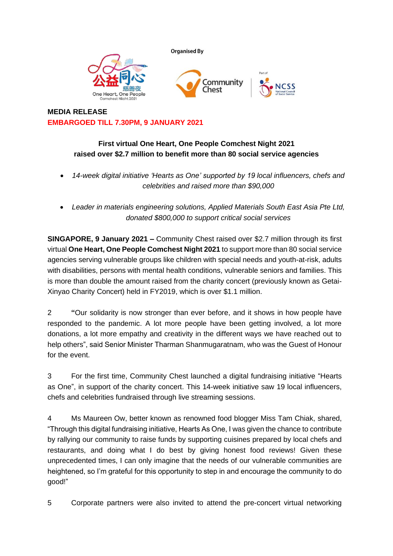



## **First virtual One Heart, One People Comchest Night 2021 raised over \$2.7 million to benefit more than 80 social service agencies**

- *14-week digital initiative 'Hearts as One' supported by 19 local influencers, chefs and celebrities and raised more than \$90,000*
- *Leader in materials engineering solutions, Applied Materials South East Asia Pte Ltd, donated \$800,000 to support critical social services*

**SINGAPORE, 9 January 2021 –** Community Chest raised over \$2.7 million through its first virtual **One Heart, One People Comchest Night 2021** to support more than 80 social service agencies serving vulnerable groups like children with special needs and youth-at-risk, adults with disabilities, persons with mental health conditions, vulnerable seniors and families. This is more than double the amount raised from the charity concert (previously known as Getai-Xinyao Charity Concert) held in FY2019, which is over \$1.1 million.

2 **"**Our solidarity is now stronger than ever before, and it shows in how people have responded to the pandemic. A lot more people have been getting involved, a lot more donations, a lot more empathy and creativity in the different ways we have reached out to help others", said Senior Minister Tharman Shanmugaratnam, who was the Guest of Honour for the event.

3 For the first time, Community Chest launched a digital fundraising initiative "Hearts as One", in support of the charity concert. This 14-week initiative saw 19 local influencers, chefs and celebrities fundraised through live streaming sessions.

4 Ms Maureen Ow, better known as renowned food blogger Miss Tam Chiak, shared, "Through this digital fundraising initiative, Hearts As One, I was given the chance to contribute by rallying our community to raise funds by supporting cuisines prepared by local chefs and restaurants, and doing what I do best by giving honest food reviews! Given these unprecedented times, I can only imagine that the needs of our vulnerable communities are heightened, so I'm grateful for this opportunity to step in and encourage the community to do good!"

5 Corporate partners were also invited to attend the pre-concert virtual networking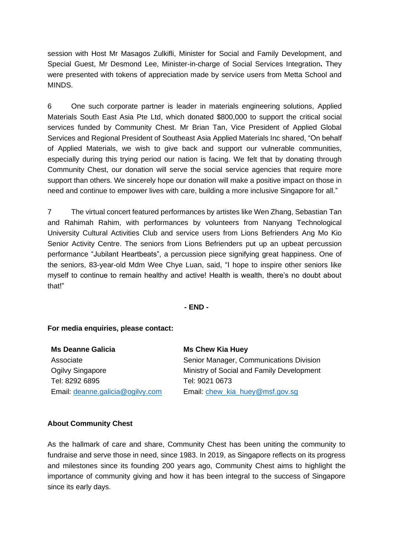session with Host Mr Masagos Zulkifli, Minister for Social and Family Development, and Special Guest, Mr Desmond Lee, Minister-in-charge of Social Services Integration**.** They were presented with tokens of appreciation made by service users from Metta School and MINDS.

6 One such corporate partner is leader in materials engineering solutions, Applied Materials South East Asia Pte Ltd, which donated \$800,000 to support the critical social services funded by Community Chest. Mr Brian Tan, Vice President of Applied Global Services and Regional President of Southeast Asia Applied Materials Inc shared, "On behalf of Applied Materials, we wish to give back and support our vulnerable communities, especially during this trying period our nation is facing. We felt that by donating through Community Chest, our donation will serve the social service agencies that require more support than others. We sincerely hope our donation will make a positive impact on those in need and continue to empower lives with care, building a more inclusive Singapore for all."

7 The virtual concert featured performances by artistes like Wen Zhang, Sebastian Tan and Rahimah Rahim, with performances by volunteers from Nanyang Technological University Cultural Activities Club and service users from Lions Befrienders Ang Mo Kio Senior Activity Centre. The seniors from Lions Befrienders put up an upbeat percussion performance "Jubilant Heartbeats", a percussion piece signifying great happiness. One of the seniors, 83-year-old Mdm Wee Chye Luan, said, "I hope to inspire other seniors like myself to continue to remain healthy and active! Health is wealth, there's no doubt about that!"

**- END -**

## **For media enquiries, please contact:**

| <b>Ms Deanne Galicia</b>         | <b>Ms Chew Kia Huey</b>                   |
|----------------------------------|-------------------------------------------|
| Associate                        | Senior Manager, Communications Division   |
| Ogilvy Singapore                 | Ministry of Social and Family Development |
| Tel: 8292 6895                   | Tel: 9021 0673                            |
| Email: deanne.galicia@ogilvy.com | Email: chew_kia_huey@msf.gov.sg           |

## **About Community Chest**

As the hallmark of care and share, Community Chest has been uniting the community to fundraise and serve those in need, since 1983. In 2019, as Singapore reflects on its progress and milestones since its founding 200 years ago, Community Chest aims to highlight the importance of community giving and how it has been integral to the success of Singapore since its early days.